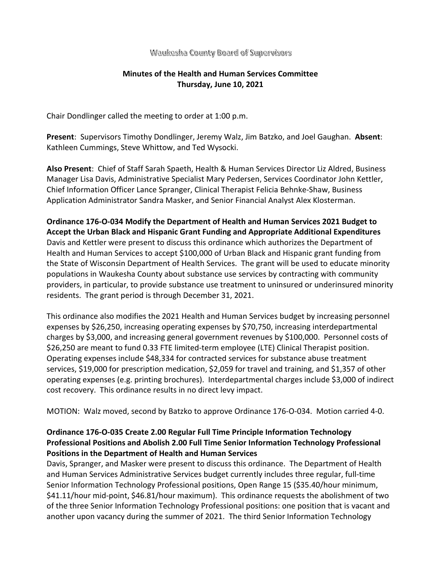### Waukesha County Board of Supervisors

## **Minutes of the Health and Human Services Committee Thursday, June 10, 2021**

Chair Dondlinger called the meeting to order at 1:00 p.m.

**Present**: Supervisors Timothy Dondlinger, Jeremy Walz, Jim Batzko, and Joel Gaughan. **Absent**: Kathleen Cummings, Steve Whittow, and Ted Wysocki.

**Also Present**: Chief of Staff Sarah Spaeth, Health & Human Services Director Liz Aldred, Business Manager Lisa Davis, Administrative Specialist Mary Pedersen, Services Coordinator John Kettler, Chief Information Officer Lance Spranger, Clinical Therapist Felicia Behnke-Shaw, Business Application Administrator Sandra Masker, and Senior Financial Analyst Alex Klosterman.

**Ordinance 176-O-034 Modify the Department of Health and Human Services 2021 Budget to Accept the Urban Black and Hispanic Grant Funding and Appropriate Additional Expenditures** Davis and Kettler were present to discuss this ordinance which authorizes the Department of Health and Human Services to accept \$100,000 of Urban Black and Hispanic grant funding from the State of Wisconsin Department of Health Services. The grant will be used to educate minority populations in Waukesha County about substance use services by contracting with community providers, in particular, to provide substance use treatment to uninsured or underinsured minority residents. The grant period is through December 31, 2021.

This ordinance also modifies the 2021 Health and Human Services budget by increasing personnel expenses by \$26,250, increasing operating expenses by \$70,750, increasing interdepartmental charges by \$3,000, and increasing general government revenues by \$100,000. Personnel costs of \$26,250 are meant to fund 0.33 FTE limited-term employee (LTE) Clinical Therapist position. Operating expenses include \$48,334 for contracted services for substance abuse treatment services, \$19,000 for prescription medication, \$2,059 for travel and training, and \$1,357 of other operating expenses (e.g. printing brochures). Interdepartmental charges include \$3,000 of indirect cost recovery. This ordinance results in no direct levy impact.

MOTION: Walz moved, second by Batzko to approve Ordinance 176-O-034. Motion carried 4-0.

# **Ordinance 176-O-035 Create 2.00 Regular Full Time Principle Information Technology Professional Positions and Abolish 2.00 Full Time Senior Information Technology Professional Positions in the Department of Health and Human Services**

Davis, Spranger, and Masker were present to discuss this ordinance. The Department of Health and Human Services Administrative Services budget currently includes three regular, full-time Senior Information Technology Professional positions, Open Range 15 (\$35.40/hour minimum, \$41.11/hour mid-point, \$46.81/hour maximum). This ordinance requests the abolishment of two of the three Senior Information Technology Professional positions: one position that is vacant and another upon vacancy during the summer of 2021. The third Senior Information Technology